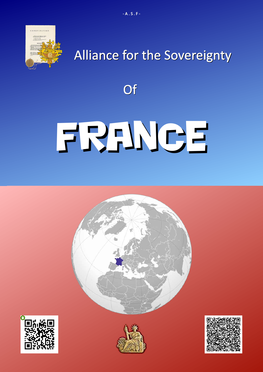

## Alliance for the Sovereignty

**Of** 

# FRANCE







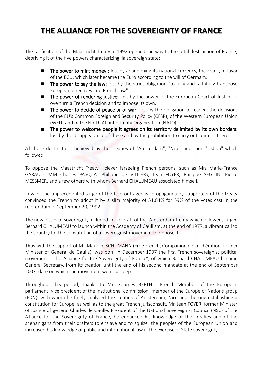### **THE ALLIANCE FOR THE SOVEREIGNTY OF FRANCE**

The ratification of the Maastricht Treaty in 1992 opened the way to the total destruction of France, depriving it of the five powers characterizing la sovereign state:

- $\blacksquare$  The power to mint money : lost by abandoning its national currency, the Franc, in favor of the ECU, which later became the Euro according to the will of Germany.
- The power to say the law: lost by the strict obligation "to fully and faithfully transpose European directives into French law".
- **The power of rendering justice:** lost by the power of the European Court of Justice to overturn a French decision and to impose its own.
- $\blacksquare$  The power to decide of peace or of war: lost by the obligation to respect the decisions of the EU's Common Foreign and Security Policy (CFSP), of the Western European Union (WEU) and of the North Atlantic Treaty Organization (NATO).
- The power to welcome people it agrees on its territory delimited by its own borders: lost by the disappearance of these and by the prohibition to carry out controls there.

All these destructions achieved by the Treaties of "Amsterdam", "Nice" and then "Lisbon" which followed.

To oppose the Maastricht Treaty, clever farseeing French persons, such as Mrs Marie-France GARAUD, MM Charles PASQUA, Philippe de VILLIERS, Jean FOYER, Philippe SEGUIN, Pierre MESSMER, and a few others with whom Bernard CHALUMEAU associated himself.

In vain: the unprecedented surge of the fake outrageous propaganda by supporters of the treaty convinced the French to adopt it by a slim majority of 51.04% for 69% of the votes cast in the referendum of September 20, 1992.

The new losses of sovereignty included in the draft of the Amsterdam Treaty which followed, urged Bernard CHALUMEAU to launch within the Academy of Gaullism, at the end of 1977, a vibrant call to the country for the constitution of a sovereignist movement to oppose it.

Thus with the support of Mr. Maurice SCHUMANN (Free French, Companion de la Libération, former Minister of General de Gaulle), was born in December 1997 the first French sovereignist political movement: "The Alliance for the Sovereignty of France", of which Bernard CHALUMEAU became General Secretary, from its creation until the end of his second mandate at the end of September 2003, date on which the movement went to sleep.

Throughout this period, thanks to Mr. Georges BERTHU, French Member of the European parliament, vice president of the institutional commission, member of the Europe of Nations group (EDN), with whom he finely analyzed the treaties of Amsterdam, Nice and the one establishing a constitution for Europe, as well as to the great French jurisconsult, Mr. Jean FOYER, former Minister of Justice of general Charles de Gaulle, President of the National Sovereignist Council (NSC) of the Alliance for the Sovereignty of France, he enhanced his knowledge of the Treaties and of the shenanigans from their drafters to enslave and to squize the peoples of the European Union and increased his knowledge of public and international law in the exercise of State sovereignty.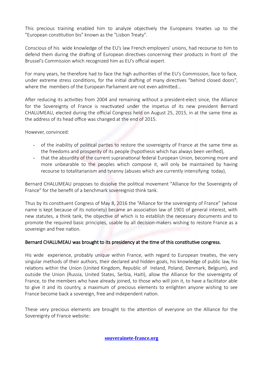This precious training enabled him to analyze objectively the Europeans treaties up to the "European constitution bis" known as the "Lisbon Treaty".

Conscious of his wide knowledge of the EU's law French employers' unions, had recourse to him to defend them during the drafting of European directives concerning their products in front of the Brussel's Commission which recognized him as EU's official expert.

For many years, he therefore had to face the high authorities of the EU's Commission, face to face, under extreme stress conditions, for the initial drafting of many directives "behind closed doors", where the members of the European Parliament are not even admitted...

After reducing its activities from 2004 and remaining without a president-elect since, the Alliance for the Sovereignty of France is reactivated under the impetus of its new president Bernard CHALUMEAU, elected during the official Congress held on August 25, 2015, in at the same time as the address of its head office was changed at the end of 2015.

However, convinced:

- of the inability of political parties to restore the sovereignty of France at the same time as the freedoms and prosperity of its people (hypothesis which has always been verified),
- that the absurdity of the current supranational federal European Union, becoming more and more unbearable to the peoples which compose it, will only be maintained by having recourse to totalitarianism and tyranny (abuses which are currently intensifying today),

Bernard CHALUMEAU proposes to dissolve the political movement "Alliance for the Sovereignty of France" for the benefit of a benchmark sovereignist think tank.

Thus by its constituent Congress of May 8, 2016 the "Alliance for the sovereignty of France" (whose name is kept because of its notoriety) became an association law of 1901 of general interest, with new statutes, a think tank, the objective of which is to establish the necessary documents and to promote the required basic principles, usable by all decision-makers wishing to restore France as a sovereign and free nation.

#### Bernard CHALUMEAU was brought to its presidency at the time of this constitutive congress.

His wide experience, probably unique within France, with regard to European treaties, the very singular methods of their authors, their declared and hidden goals, his knowledge of public law, his relations within the Union (United Kingdom, Republic of Ireland, Poland, Denmark, Belgium), and outside the Union (Russia, United States, Serbia, Haiti), allow the Alliance for the sovereignty of France, to the members who have already joined, to those who will join it, to have a facilitator able to give it and its country, a maximum of precious elements to enlighten anyone wishing to see France become back a sovereign, free and independent nation.

These very precious elements are brought to the attention of everyone on the Alliance for the Sovereignty of France website: